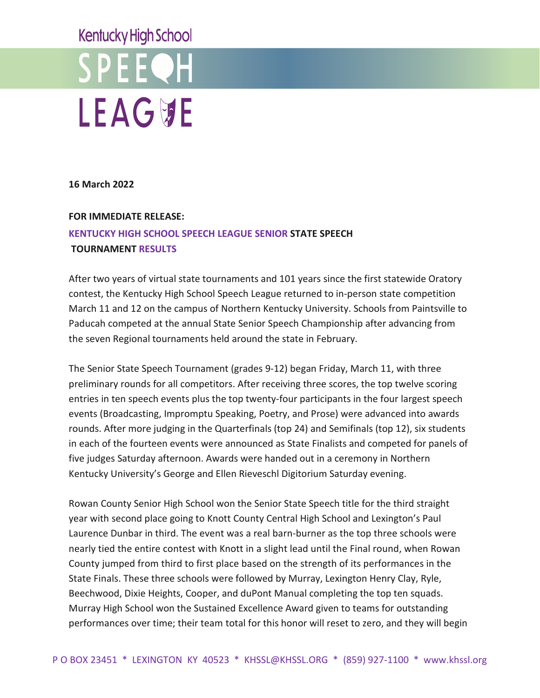# **Kentucky High School**



**16 March 2022**

### **FOR IMMEDIATE RELEASE:**

### **KENTUCKY HIGH SCHOOL SPEECH LEAGUE SENIOR STATE SPEECH TOURNAMENT RESULTS**

After two years of virtual state tournaments and 101 years since the first statewide Oratory contest, the Kentucky High School Speech League returned to in-person state competition March 11 and 12 on the campus of Northern Kentucky University. Schools from Paintsville to Paducah competed at the annual State Senior Speech Championship after advancing from the seven Regional tournaments held around the state in February.

The Senior State Speech Tournament (grades 9-12) began Friday, March 11, with three preliminary rounds for all competitors. After receiving three scores, the top twelve scoring entries in ten speech events plus the top twenty-four participants in the four largest speech events (Broadcasting, Impromptu Speaking, Poetry, and Prose) were advanced into awards rounds. After more judging in the Quarterfinals (top 24) and Semifinals (top 12), six students in each of the fourteen events were announced as State Finalists and competed for panels of five judges Saturday afternoon. Awards were handed out in a ceremony in Northern Kentucky University's George and Ellen Rieveschl Digitorium Saturday evening.

Rowan County Senior High School won the Senior State Speech title for the third straight year with second place going to Knott County Central High School and Lexington's Paul Laurence Dunbar in third. The event was a real barn-burner as the top three schools were nearly tied the entire contest with Knott in a slight lead until the Final round, when Rowan County jumped from third to first place based on the strength of its performances in the State Finals. These three schools were followed by Murray, Lexington Henry Clay, Ryle, Beechwood, Dixie Heights, Cooper, and duPont Manual completing the top ten squads. Murray High School won the Sustained Excellence Award given to teams for outstanding performances over time; their team total for this honor will reset to zero, and they will begin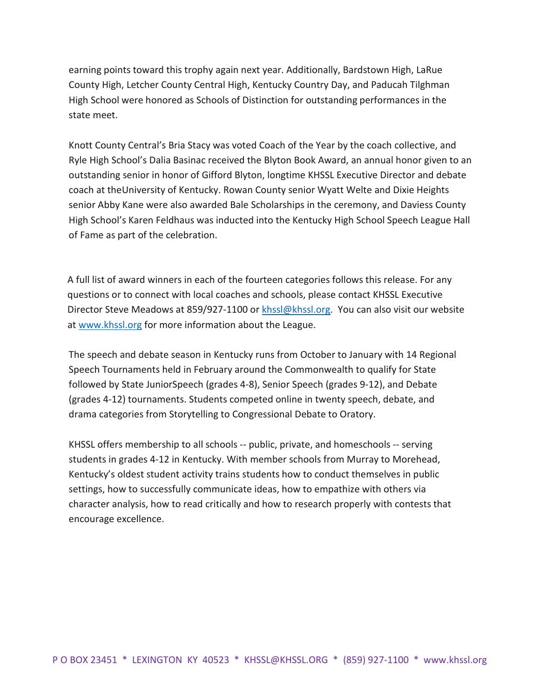earning points toward this trophy again next year. Additionally, Bardstown High, LaRue County High, Letcher County Central High, Kentucky Country Day, and Paducah Tilghman High School were honored as Schools of Distinction for outstanding performances in the state meet.

Knott County Central's Bria Stacy was voted Coach of the Year by the coach collective, and Ryle High School's Dalia Basinac received the Blyton Book Award, an annual honor given to an outstanding senior in honor of Gifford Blyton, longtime KHSSL Executive Director and debate coach at theUniversity of Kentucky. Rowan County senior Wyatt Welte and Dixie Heights senior Abby Kane were also awarded Bale Scholarships in the ceremony, and Daviess County High School's Karen Feldhaus was inducted into the Kentucky High School Speech League Hall of Fame as part of the celebration.

A full list of award winners in each of the fourteen categories follows this release. For any questions or to connect with local coaches and schools, please contact KHSSL Executive Director Steve Meadows at 859/927-1100 or [khssl@khssl.org.](mailto:khssl@khssl.org) You can also visit our website at [www.khssl.org](http://www.khssl.org/) for more information about the League.

The speech and debate season in Kentucky runs from October to January with 14 Regional Speech Tournaments held in February around the Commonwealth to qualify for State followed by State JuniorSpeech (grades 4-8), Senior Speech (grades 9-12), and Debate (grades 4-12) tournaments. Students competed online in twenty speech, debate, and drama categories from Storytelling to Congressional Debate to Oratory.

KHSSL offers membership to all schools -- public, private, and homeschools -- serving students in grades 4-12 in Kentucky. With member schools from Murray to Morehead, Kentucky's oldest student activity trains students how to conduct themselves in public settings, how to successfully communicate ideas, how to empathize with others via character analysis, how to read critically and how to research properly with contests that encourage excellence.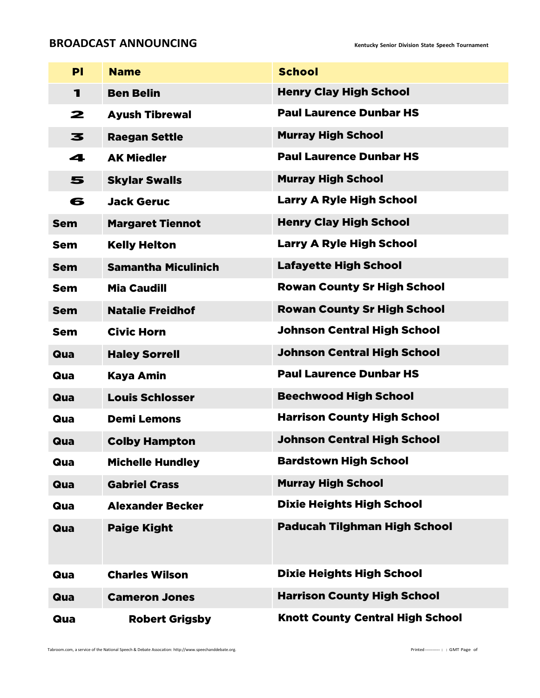### **BROADCAST ANNOUNCING EXECUTES Reflucky** Senior Division State Speech Tournament

| PI           | <b>Name</b>                | <b>School</b>                           |
|--------------|----------------------------|-----------------------------------------|
| $\mathbf{1}$ | <b>Ben Belin</b>           | <b>Henry Clay High School</b>           |
| 2            | <b>Ayush Tibrewal</b>      | <b>Paul Laurence Dunbar HS</b>          |
| 3            | <b>Raegan Settle</b>       | <b>Murray High School</b>               |
| 4            | <b>AK Miedler</b>          | <b>Paul Laurence Dunbar HS</b>          |
| 5            | <b>Skylar Swalls</b>       | <b>Murray High School</b>               |
| 6            | <b>Jack Geruc</b>          | <b>Larry A Ryle High School</b>         |
| <b>Sem</b>   | <b>Margaret Tiennot</b>    | <b>Henry Clay High School</b>           |
| Sem          | <b>Kelly Helton</b>        | <b>Larry A Ryle High School</b>         |
| <b>Sem</b>   | <b>Samantha Miculinich</b> | <b>Lafayette High School</b>            |
| <b>Sem</b>   | <b>Mia Caudill</b>         | <b>Rowan County Sr High School</b>      |
| <b>Sem</b>   | <b>Natalie Freidhof</b>    | <b>Rowan County Sr High School</b>      |
| <b>Sem</b>   | <b>Civic Horn</b>          | <b>Johnson Central High School</b>      |
| Qua          | <b>Haley Sorrell</b>       | <b>Johnson Central High School</b>      |
| Qua          | Kaya Amin                  | <b>Paul Laurence Dunbar HS</b>          |
| Qua          | <b>Louis Schlosser</b>     | <b>Beechwood High School</b>            |
| Qua          | <b>Demi Lemons</b>         | <b>Harrison County High School</b>      |
| Qua          | <b>Colby Hampton</b>       | <b>Johnson Central High School</b>      |
| Qua          | <b>Michelle Hundley</b>    | <b>Bardstown High School</b>            |
| Qua          | <b>Gabriel Crass</b>       | <b>Murray High School</b>               |
| Qua          | <b>Alexander Becker</b>    | <b>Dixie Heights High School</b>        |
| Qua          | <b>Paige Kight</b>         | <b>Paducah Tilghman High School</b>     |
| Qua          | <b>Charles Wilson</b>      | <b>Dixie Heights High School</b>        |
| Qua          | <b>Cameron Jones</b>       | <b>Harrison County High School</b>      |
| Qua          | <b>Robert Grigsby</b>      | <b>Knott County Central High School</b> |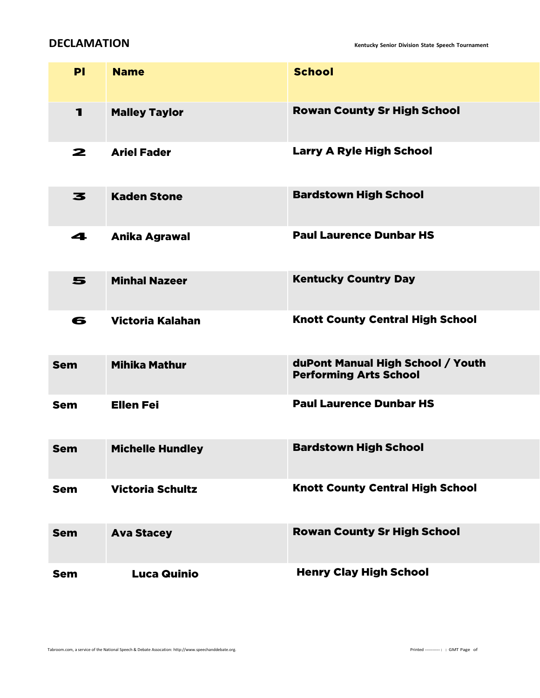**DECLAMATION Kentucky Senior Division State Speech Tournament**

| PI         | <b>Name</b>             | <b>School</b>                                                      |
|------------|-------------------------|--------------------------------------------------------------------|
| 1          | <b>Malley Taylor</b>    | <b>Rowan County Sr High School</b>                                 |
| 2          | <b>Ariel Fader</b>      | <b>Larry A Ryle High School</b>                                    |
| 3          | <b>Kaden Stone</b>      | <b>Bardstown High School</b>                                       |
| 4          | <b>Anika Agrawal</b>    | <b>Paul Laurence Dunbar HS</b>                                     |
| 5          | <b>Minhal Nazeer</b>    | <b>Kentucky Country Day</b>                                        |
| 6          | <b>Victoria Kalahan</b> | <b>Knott County Central High School</b>                            |
| <b>Sem</b> | <b>Mihika Mathur</b>    | duPont Manual High School / Youth<br><b>Performing Arts School</b> |
| <b>Sem</b> | <b>Ellen Fei</b>        | <b>Paul Laurence Dunbar HS</b>                                     |
| <b>Sem</b> | <b>Michelle Hundley</b> | <b>Bardstown High School</b>                                       |
| <b>Sem</b> | <b>Victoria Schultz</b> | <b>Knott County Central High School</b>                            |
| <b>Sem</b> | <b>Ava Stacey</b>       | <b>Rowan County Sr High School</b>                                 |
| <b>Sem</b> | <b>Luca Quinio</b>      | <b>Henry Clay High School</b>                                      |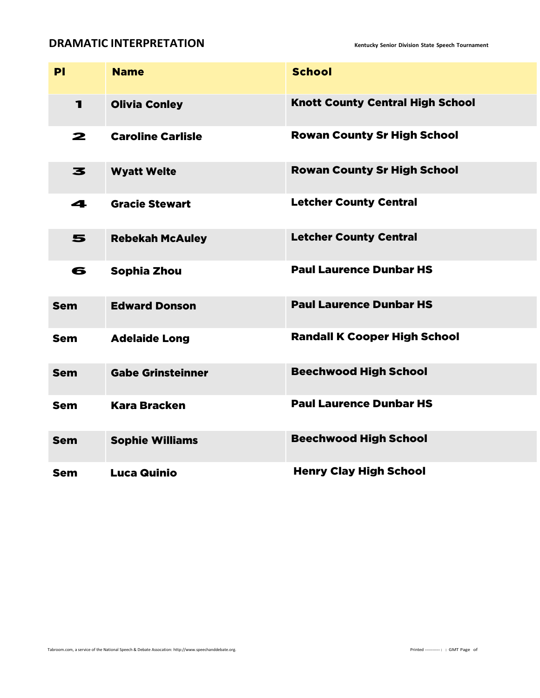### **DRAMATIC INTERPRETATION Rentucky** Senior Division State Speech Tournament

| PI             | <b>Name</b>              | <b>School</b>                           |
|----------------|--------------------------|-----------------------------------------|
| $\blacksquare$ | <b>Olivia Conley</b>     | <b>Knott County Central High School</b> |
| $\mathbf{z}$   | <b>Caroline Carlisle</b> | <b>Rowan County Sr High School</b>      |
| 3              | <b>Wyatt Welte</b>       | <b>Rowan County Sr High School</b>      |
| 4              | <b>Gracie Stewart</b>    | <b>Letcher County Central</b>           |
| 5              | <b>Rebekah McAuley</b>   | <b>Letcher County Central</b>           |
| 6              | Sophia Zhou              | <b>Paul Laurence Dunbar HS</b>          |
| <b>Sem</b>     | <b>Edward Donson</b>     | <b>Paul Laurence Dunbar HS</b>          |
| <b>Sem</b>     | <b>Adelaide Long</b>     | <b>Randall K Cooper High School</b>     |
| <b>Sem</b>     | <b>Gabe Grinsteinner</b> | <b>Beechwood High School</b>            |
| <b>Sem</b>     | <b>Kara Bracken</b>      | <b>Paul Laurence Dunbar HS</b>          |
| <b>Sem</b>     | <b>Sophie Williams</b>   | <b>Beechwood High School</b>            |
| <b>Sem</b>     | <b>Luca Quinio</b>       | <b>Henry Clay High School</b>           |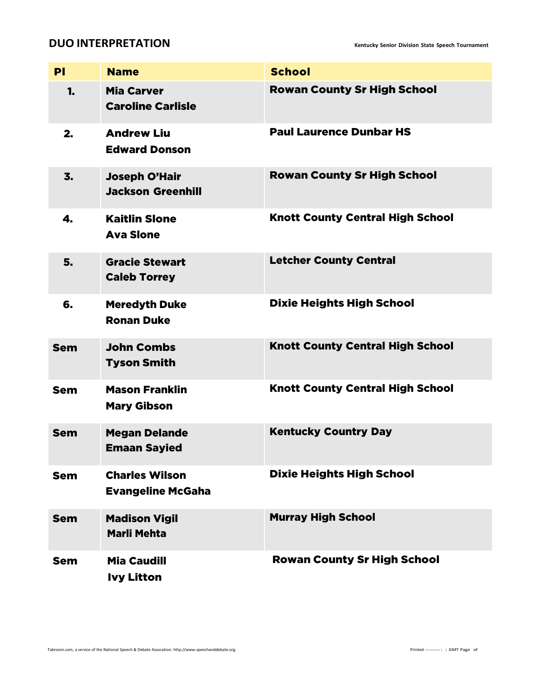### **DUO** INTERPRETATION

| PI               | <b>Name</b>                                       | <b>School</b>                           |
|------------------|---------------------------------------------------|-----------------------------------------|
| 1.               | <b>Mia Carver</b><br><b>Caroline Carlisle</b>     | <b>Rowan County Sr High School</b>      |
| 2.               | <b>Andrew Liu</b><br><b>Edward Donson</b>         | <b>Paul Laurence Dunbar HS</b>          |
| $\overline{3}$ . | <b>Joseph O'Hair</b><br><b>Jackson Greenhill</b>  | <b>Rowan County Sr High School</b>      |
| 4.               | <b>Kaitlin Slone</b><br><b>Ava Slone</b>          | <b>Knott County Central High School</b> |
| 5.               | <b>Gracie Stewart</b><br><b>Caleb Torrey</b>      | <b>Letcher County Central</b>           |
| 6.               | <b>Meredyth Duke</b><br><b>Ronan Duke</b>         | <b>Dixie Heights High School</b>        |
| <b>Sem</b>       | <b>John Combs</b><br><b>Tyson Smith</b>           | <b>Knott County Central High School</b> |
| <b>Sem</b>       | <b>Mason Franklin</b><br><b>Mary Gibson</b>       | <b>Knott County Central High School</b> |
| <b>Sem</b>       | <b>Megan Delande</b><br><b>Emaan Sayied</b>       | <b>Kentucky Country Day</b>             |
| <b>Sem</b>       | <b>Charles Wilson</b><br><b>Evangeline McGaha</b> | <b>Dixie Heights High School</b>        |
| <b>Sem</b>       | <b>Madison Vigil</b><br><b>Marli Mehta</b>        | <b>Murray High School</b>               |
| <b>Sem</b>       | <b>Mia Caudill</b><br><b>Ivy Litton</b>           | <b>Rowan County Sr High School</b>      |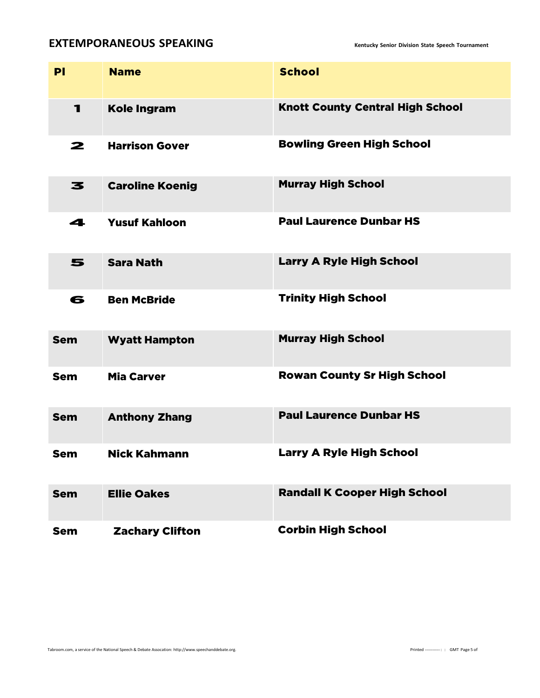### **EXTEMPORANEOUS SPEAKING Kentucky Senior Division State Speech Tournament**

| PI         | <b>Name</b>            | <b>School</b>                           |
|------------|------------------------|-----------------------------------------|
| 1          | <b>Kole Ingram</b>     | <b>Knott County Central High School</b> |
| 2          | <b>Harrison Gover</b>  | <b>Bowling Green High School</b>        |
| 3          | <b>Caroline Koenig</b> | <b>Murray High School</b>               |
| 4          | <b>Yusuf Kahloon</b>   | <b>Paul Laurence Dunbar HS</b>          |
| 5          | <b>Sara Nath</b>       | <b>Larry A Ryle High School</b>         |
| 6          | <b>Ben McBride</b>     | <b>Trinity High School</b>              |
| <b>Sem</b> | <b>Wyatt Hampton</b>   | <b>Murray High School</b>               |
| <b>Sem</b> | <b>Mia Carver</b>      | <b>Rowan County Sr High School</b>      |
| <b>Sem</b> | <b>Anthony Zhang</b>   | <b>Paul Laurence Dunbar HS</b>          |
| <b>Sem</b> | <b>Nick Kahmann</b>    | <b>Larry A Ryle High School</b>         |
| <b>Sem</b> | <b>Ellie Oakes</b>     | <b>Randall K Cooper High School</b>     |
| <b>Sem</b> | <b>Zachary Clifton</b> | <b>Corbin High School</b>               |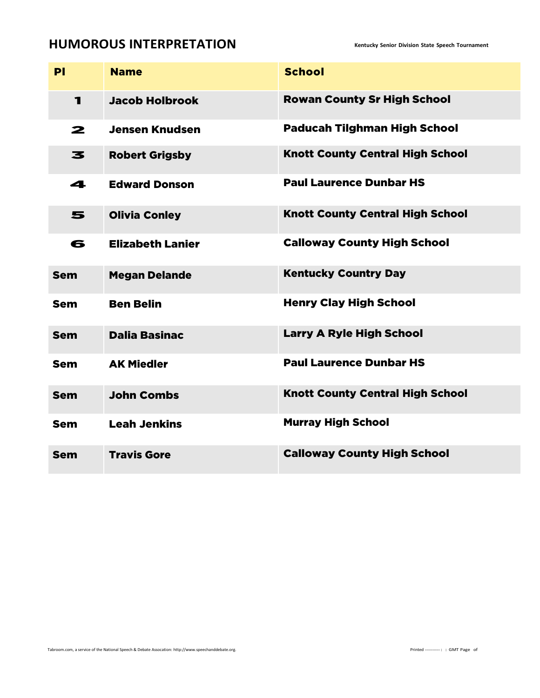## **HUMOROUS INTERPRETATION Kentucky Senior Division State Speech Tournament**

| PI         | <b>Name</b>             | <b>School</b>                           |
|------------|-------------------------|-----------------------------------------|
| 1          | <b>Jacob Holbrook</b>   | <b>Rowan County Sr High School</b>      |
| 2          | <b>Jensen Knudsen</b>   | <b>Paducah Tilghman High School</b>     |
| 3          | <b>Robert Grigsby</b>   | <b>Knott County Central High School</b> |
| 4          | <b>Edward Donson</b>    | <b>Paul Laurence Dunbar HS</b>          |
| 5          | <b>Olivia Conley</b>    | <b>Knott County Central High School</b> |
| 6          | <b>Elizabeth Lanier</b> | <b>Calloway County High School</b>      |
| <b>Sem</b> | <b>Megan Delande</b>    | <b>Kentucky Country Day</b>             |
| <b>Sem</b> | <b>Ben Belin</b>        | <b>Henry Clay High School</b>           |
| <b>Sem</b> | <b>Dalia Basinac</b>    | <b>Larry A Ryle High School</b>         |
| <b>Sem</b> | <b>AK Miedler</b>       | <b>Paul Laurence Dunbar HS</b>          |
| <b>Sem</b> | <b>John Combs</b>       | <b>Knott County Central High School</b> |
| <b>Sem</b> | <b>Leah Jenkins</b>     | <b>Murray High School</b>               |
| <b>Sem</b> | <b>Travis Gore</b>      | <b>Calloway County High School</b>      |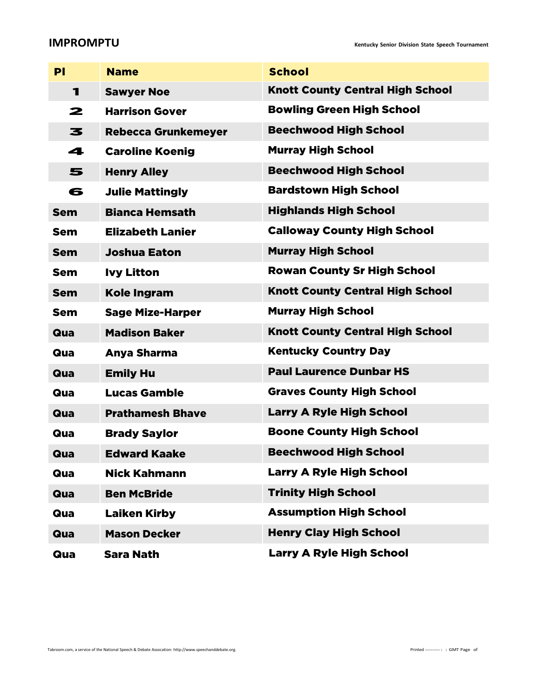### **IMPROMPTU Kentucky Senior Division State Speech Tournament**

| PI         | <b>Name</b>                | <b>School</b>                           |
|------------|----------------------------|-----------------------------------------|
| 1          | <b>Sawyer Noe</b>          | <b>Knott County Central High School</b> |
| 2          | <b>Harrison Gover</b>      | <b>Bowling Green High School</b>        |
| 3          | <b>Rebecca Grunkemeyer</b> | <b>Beechwood High School</b>            |
| 4          | <b>Caroline Koenig</b>     | <b>Murray High School</b>               |
| 5          | <b>Henry Alley</b>         | <b>Beechwood High School</b>            |
| 6          | <b>Julie Mattingly</b>     | <b>Bardstown High School</b>            |
| <b>Sem</b> | <b>Bianca Hemsath</b>      | <b>Highlands High School</b>            |
| Sem        | <b>Elizabeth Lanier</b>    | <b>Calloway County High School</b>      |
| <b>Sem</b> | <b>Joshua Eaton</b>        | <b>Murray High School</b>               |
| <b>Sem</b> | <b>Ivy Litton</b>          | <b>Rowan County Sr High School</b>      |
| <b>Sem</b> | <b>Kole Ingram</b>         | <b>Knott County Central High School</b> |
| Sem        | <b>Sage Mize-Harper</b>    | <b>Murray High School</b>               |
| Qua        | <b>Madison Baker</b>       | <b>Knott County Central High School</b> |
| Qua        | Anya Sharma                | <b>Kentucky Country Day</b>             |
| Qua        | <b>Emily Hu</b>            | <b>Paul Laurence Dunbar HS</b>          |
| Qua        | <b>Lucas Gamble</b>        | <b>Graves County High School</b>        |
| Qua        | <b>Prathamesh Bhave</b>    | <b>Larry A Ryle High School</b>         |
| Qua        | <b>Brady Saylor</b>        | <b>Boone County High School</b>         |
| Qua        | <b>Edward Kaake</b>        | <b>Beechwood High School</b>            |
| Qua        | <b>Nick Kahmann</b>        | <b>Larry A Ryle High School</b>         |
| Qua        | <b>Ben McBride</b>         | <b>Trinity High School</b>              |
| Qua        | <b>Laiken Kirby</b>        | <b>Assumption High School</b>           |
| Qua        | <b>Mason Decker</b>        | <b>Henry Clay High School</b>           |
| Qua        | <b>Sara Nath</b>           | <b>Larry A Ryle High School</b>         |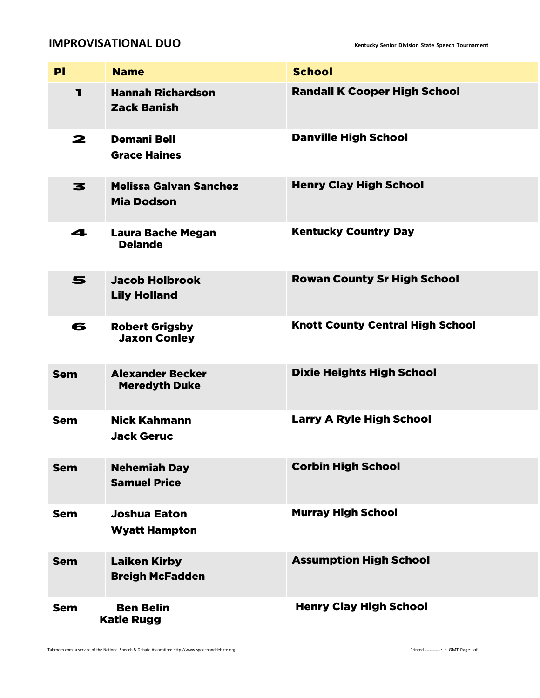### **IMPROVISATIONAL DUO Kentucky Senior Division State Speech Tournament**

| PI         | <b>Name</b>                                        | <b>School</b>                           |
|------------|----------------------------------------------------|-----------------------------------------|
| 1          | <b>Hannah Richardson</b><br><b>Zack Banish</b>     | <b>Randall K Cooper High School</b>     |
| 2          | <b>Demani Bell</b><br><b>Grace Haines</b>          | <b>Danville High School</b>             |
| 3          | <b>Melissa Galvan Sanchez</b><br><b>Mia Dodson</b> | <b>Henry Clay High School</b>           |
| 4          | <b>Laura Bache Megan</b><br><b>Delande</b>         | <b>Kentucky Country Day</b>             |
| 5          | <b>Jacob Holbrook</b><br><b>Lily Holland</b>       | <b>Rowan County Sr High School</b>      |
| 6          | <b>Robert Grigsby</b><br><b>Jaxon Conley</b>       | <b>Knott County Central High School</b> |
| <b>Sem</b> | <b>Alexander Becker</b><br><b>Meredyth Duke</b>    | <b>Dixie Heights High School</b>        |
| <b>Sem</b> | <b>Nick Kahmann</b><br><b>Jack Geruc</b>           | <b>Larry A Ryle High School</b>         |
| <b>Sem</b> | <b>Nehemiah Day</b><br><b>Samuel Price</b>         | <b>Corbin High School</b>               |
| <b>Sem</b> | <b>Joshua Eaton</b><br><b>Wyatt Hampton</b>        | <b>Murray High School</b>               |
| <b>Sem</b> | <b>Laiken Kirby</b><br><b>Breigh McFadden</b>      | <b>Assumption High School</b>           |
| <b>Sem</b> | <b>Ben Belin</b><br><b>Katie Rugg</b>              | <b>Henry Clay High School</b>           |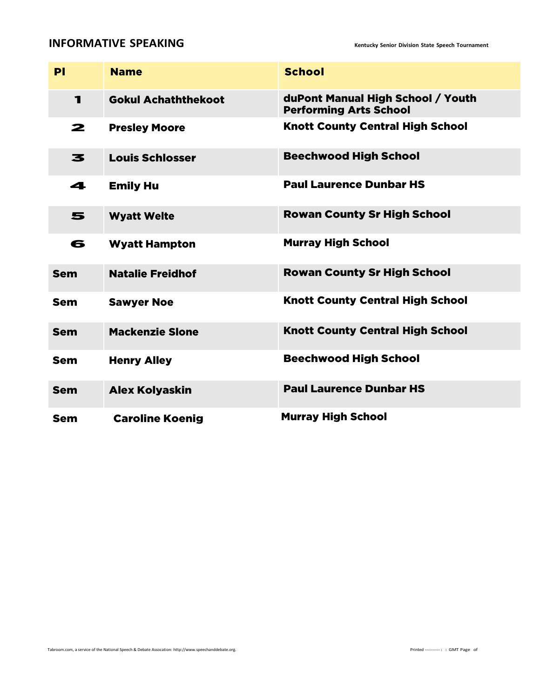## **INFORMATIVE SPEAKING INFORMATIVE**

| PI           | <b>Name</b>                | <b>School</b>                                                      |
|--------------|----------------------------|--------------------------------------------------------------------|
| $\mathbf{1}$ | <b>Gokul Achaththekoot</b> | duPont Manual High School / Youth<br><b>Performing Arts School</b> |
| 2            | <b>Presley Moore</b>       | <b>Knott County Central High School</b>                            |
| 3            | <b>Louis Schlosser</b>     | <b>Beechwood High School</b>                                       |
| 4            | <b>Emily Hu</b>            | <b>Paul Laurence Dunbar HS</b>                                     |
| 5            | <b>Wyatt Welte</b>         | <b>Rowan County Sr High School</b>                                 |
| 6            | <b>Wyatt Hampton</b>       | <b>Murray High School</b>                                          |
| <b>Sem</b>   | <b>Natalie Freidhof</b>    | <b>Rowan County Sr High School</b>                                 |
| Sem          | <b>Sawyer Noe</b>          | <b>Knott County Central High School</b>                            |
| <b>Sem</b>   | <b>Mackenzie Slone</b>     | <b>Knott County Central High School</b>                            |
| <b>Sem</b>   | <b>Henry Alley</b>         | <b>Beechwood High School</b>                                       |
| <b>Sem</b>   | <b>Alex Kolyaskin</b>      | <b>Paul Laurence Dunbar HS</b>                                     |
| Sem          | <b>Caroline Koenig</b>     | <b>Murray High School</b>                                          |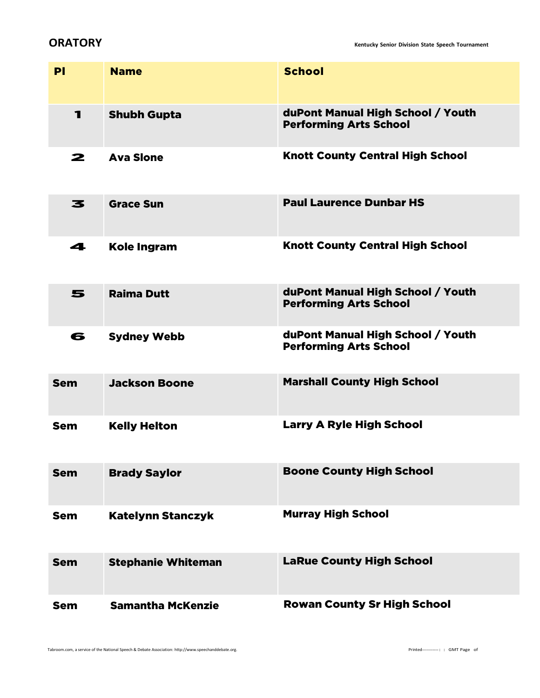**ORATORY Kentucky Senior Division State Speech Tournament**

| PI         | <b>Name</b>               | <b>School</b>                                                      |
|------------|---------------------------|--------------------------------------------------------------------|
| 1          | <b>Shubh Gupta</b>        | duPont Manual High School / Youth<br><b>Performing Arts School</b> |
| 2          | <b>Ava Slone</b>          | <b>Knott County Central High School</b>                            |
| 3          | <b>Grace Sun</b>          | <b>Paul Laurence Dunbar HS</b>                                     |
| 4          | <b>Kole Ingram</b>        | <b>Knott County Central High School</b>                            |
| 5          | <b>Raima Dutt</b>         | duPont Manual High School / Youth<br><b>Performing Arts School</b> |
| 6          | <b>Sydney Webb</b>        | duPont Manual High School / Youth<br><b>Performing Arts School</b> |
| <b>Sem</b> | <b>Jackson Boone</b>      | <b>Marshall County High School</b>                                 |
| <b>Sem</b> | <b>Kelly Helton</b>       | <b>Larry A Ryle High School</b>                                    |
| <b>Sem</b> | <b>Brady Saylor</b>       | <b>Boone County High School</b>                                    |
| <b>Sem</b> | <b>Katelynn Stanczyk</b>  | <b>Murray High School</b>                                          |
| <b>Sem</b> | <b>Stephanie Whiteman</b> | <b>LaRue County High School</b>                                    |
| <b>Sem</b> | <b>Samantha McKenzie</b>  | <b>Rowan County Sr High School</b>                                 |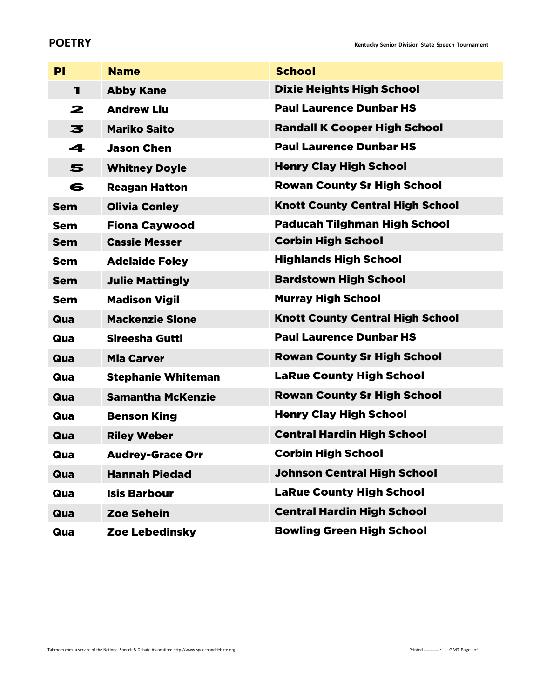**POETRY Kentucky** Senior Division State Speech Tournament

| PI         | <b>Name</b>               | <b>School</b>                           |
|------------|---------------------------|-----------------------------------------|
| 1          | <b>Abby Kane</b>          | <b>Dixie Heights High School</b>        |
| 2          | <b>Andrew Liu</b>         | <b>Paul Laurence Dunbar HS</b>          |
| 3          | <b>Mariko Saito</b>       | <b>Randall K Cooper High School</b>     |
| 4          | <b>Jason Chen</b>         | <b>Paul Laurence Dunbar HS</b>          |
| 5          | <b>Whitney Doyle</b>      | <b>Henry Clay High School</b>           |
| 6          | <b>Reagan Hatton</b>      | <b>Rowan County Sr High School</b>      |
| <b>Sem</b> | <b>Olivia Conley</b>      | <b>Knott County Central High School</b> |
| <b>Sem</b> | <b>Fiona Caywood</b>      | <b>Paducah Tilghman High School</b>     |
| <b>Sem</b> | <b>Cassie Messer</b>      | <b>Corbin High School</b>               |
| <b>Sem</b> | <b>Adelaide Foley</b>     | <b>Highlands High School</b>            |
| <b>Sem</b> | <b>Julie Mattingly</b>    | <b>Bardstown High School</b>            |
| <b>Sem</b> | <b>Madison Vigil</b>      | <b>Murray High School</b>               |
| Qua        | <b>Mackenzie Slone</b>    | <b>Knott County Central High School</b> |
| Qua        | Sireesha Gutti            | <b>Paul Laurence Dunbar HS</b>          |
| Qua        | <b>Mia Carver</b>         | <b>Rowan County Sr High School</b>      |
| Qua        | <b>Stephanie Whiteman</b> | <b>LaRue County High School</b>         |
| Qua        | <b>Samantha McKenzie</b>  | <b>Rowan County Sr High School</b>      |
| Qua        | <b>Benson King</b>        | <b>Henry Clay High School</b>           |
| Qua        | <b>Riley Weber</b>        | <b>Central Hardin High School</b>       |
| Qua        | <b>Audrey-Grace Orr</b>   | <b>Corbin High School</b>               |
| Qua        | <b>Hannah Piedad</b>      | <b>Johnson Central High School</b>      |
| Qua        | <b>Isis Barbour</b>       | <b>LaRue County High School</b>         |
| Qua        | <b>Zoe Sehein</b>         | <b>Central Hardin High School</b>       |
| Qua        | <b>Zoe Lebedinsky</b>     | <b>Bowling Green High School</b>        |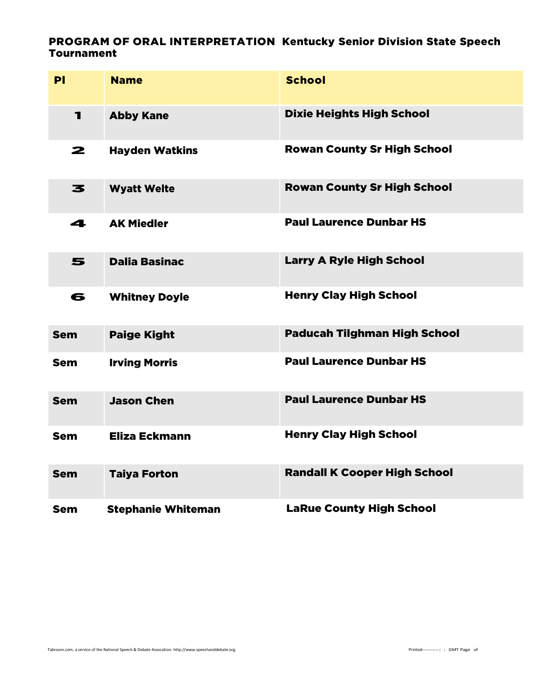### PROGRAM OF ORAL INTERPRETATION Kentucky Senior Division State Speech Tournament

| PI           | <b>Name</b>               | <b>School</b>                       |
|--------------|---------------------------|-------------------------------------|
| $\mathbf{I}$ | <b>Abby Kane</b>          | <b>Dixie Heights High School</b>    |
| 2            | <b>Hayden Watkins</b>     | <b>Rowan County Sr High School</b>  |
| 3            | <b>Wyatt Welte</b>        | <b>Rowan County Sr High School</b>  |
| 4            | <b>AK Miedler</b>         | <b>Paul Laurence Dunbar HS</b>      |
| 5            | <b>Dalia Basinac</b>      | <b>Larry A Ryle High School</b>     |
| 6            | <b>Whitney Doyle</b>      | <b>Henry Clay High School</b>       |
| <b>Sem</b>   | <b>Paige Kight</b>        | <b>Paducah Tilghman High School</b> |
| <b>Sem</b>   | <b>Irving Morris</b>      | <b>Paul Laurence Dunbar HS</b>      |
| <b>Sem</b>   | <b>Jason Chen</b>         | <b>Paul Laurence Dunbar HS</b>      |
| <b>Sem</b>   | <b>Eliza Eckmann</b>      | <b>Henry Clay High School</b>       |
| <b>Sem</b>   | <b>Taiya Forton</b>       | <b>Randall K Cooper High School</b> |
| <b>Sem</b>   | <b>Stephanie Whiteman</b> | <b>LaRue County High School</b>     |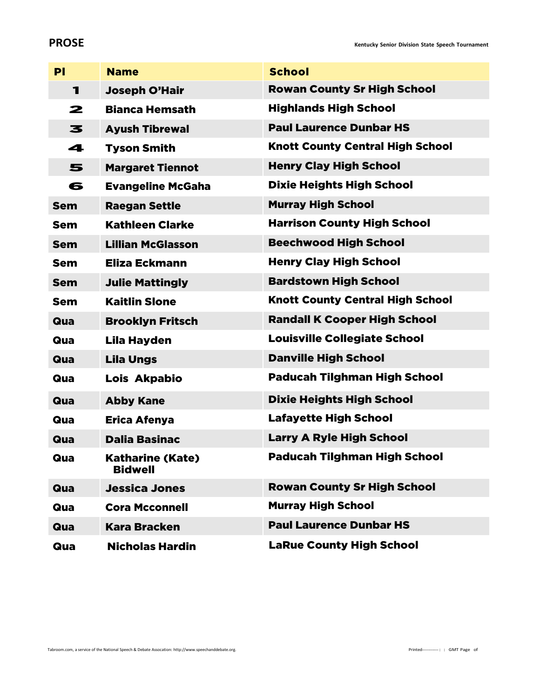### **PROSE Kentucky** Senior Division State Speech Tournament

| PI         | <b>Name</b>                               | <b>School</b>                           |
|------------|-------------------------------------------|-----------------------------------------|
| 1          | <b>Joseph O'Hair</b>                      | <b>Rowan County Sr High School</b>      |
| 2          | <b>Bianca Hemsath</b>                     | <b>Highlands High School</b>            |
| 3          | <b>Ayush Tibrewal</b>                     | <b>Paul Laurence Dunbar HS</b>          |
| 4          | <b>Tyson Smith</b>                        | <b>Knott County Central High School</b> |
| 5          | <b>Margaret Tiennot</b>                   | <b>Henry Clay High School</b>           |
| 6          | <b>Evangeline McGaha</b>                  | <b>Dixie Heights High School</b>        |
| <b>Sem</b> | <b>Raegan Settle</b>                      | <b>Murray High School</b>               |
| Sem        | <b>Kathleen Clarke</b>                    | <b>Harrison County High School</b>      |
| <b>Sem</b> | <b>Lillian McGlasson</b>                  | <b>Beechwood High School</b>            |
| <b>Sem</b> | Eliza Eckmann                             | <b>Henry Clay High School</b>           |
| <b>Sem</b> | <b>Julie Mattingly</b>                    | <b>Bardstown High School</b>            |
| <b>Sem</b> | <b>Kaitlin Slone</b>                      | <b>Knott County Central High School</b> |
| Qua        | <b>Brooklyn Fritsch</b>                   | <b>Randall K Cooper High School</b>     |
| Qua        | Lila Hayden                               | <b>Louisville Collegiate School</b>     |
| Qua        | <b>Lila Ungs</b>                          | <b>Danville High School</b>             |
| Qua        | Lois Akpabio                              | <b>Paducah Tilghman High School</b>     |
| Qua        | <b>Abby Kane</b>                          | <b>Dixie Heights High School</b>        |
| Qua        | <b>Erica Afenya</b>                       | <b>Lafayette High School</b>            |
| Qua        | <b>Dalia Basinac</b>                      | <b>Larry A Ryle High School</b>         |
| Qua        | <b>Katharine (Kate)</b><br><b>Bidwell</b> | <b>Paducah Tilghman High School</b>     |
| Qua        | <b>Jessica Jones</b>                      | <b>Rowan County Sr High School</b>      |
| Qua        | <b>Cora Mcconnell</b>                     | <b>Murray High School</b>               |
| Qua        | <b>Kara Bracken</b>                       | <b>Paul Laurence Dunbar HS</b>          |
| Qua        | <b>Nicholas Hardin</b>                    | <b>LaRue County High School</b>         |